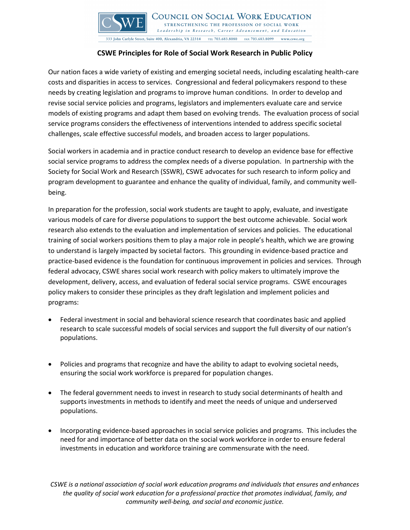

COUNCIL ON SOCIAL WORK EDUCATION STRENGTHENING THE PROFESSION OF SOCIAL WORK Leadership in Research, Career Advancement, and Education 333 John Carlyle Street, Suite 400, Alexandria, VA 22314 TEL 703.683.8080 FAX 703.683.8099 www.cswe.org

## **CSWE Principles for Role of Social Work Research in Public Policy**

Our nation faces a wide variety of existing and emerging societal needs, including escalating health-care costs and disparities in access to services. Congressional and federal policymakers respond to these needs by creating legislation and programs to improve human conditions. In order to develop and revise social service policies and programs, legislators and implementers evaluate care and service models of existing programs and adapt them based on evolving trends. The evaluation process of social service programs considers the effectiveness of interventions intended to address specific societal challenges, scale effective successful models, and broaden access to larger populations.

Social workers in academia and in practice conduct research to develop an evidence base for effective social service programs to address the complex needs of a diverse population. In partnership with the Society for Social Work and Research (SSWR), CSWE advocates for such research to inform policy and program development to guarantee and enhance the quality of individual, family, and community wellbeing.

In preparation for the profession, social work students are taught to apply, evaluate, and investigate various models of care for diverse populations to support the best outcome achievable. Social work research also extends to the evaluation and implementation of services and policies. The educational training of social workers positions them to play a major role in people's health, which we are growing to understand is largely impacted by societal factors. This grounding in evidence-based practice and practice-based evidence is the foundation for continuous improvement in policies and services. Through federal advocacy, CSWE shares social work research with policy makers to ultimately improve the development, delivery, access, and evaluation of federal social service programs. CSWE encourages policy makers to consider these principles as they draft legislation and implement policies and programs:

- Federal investment in social and behavioral science research that coordinates basic and applied research to scale successful models of social services and support the full diversity of our nation's populations.
- Policies and programs that recognize and have the ability to adapt to evolving societal needs, ensuring the social work workforce is prepared for population changes.
- The federal government needs to invest in research to study social determinants of health and supports investments in methods to identify and meet the needs of unique and underserved populations.
- Incorporating evidence-based approaches in social service policies and programs. This includes the need for and importance of better data on the social work workforce in order to ensure federal investments in education and workforce training are commensurate with the need.

*CSWE is a national association of social work education programs and individuals that ensures and enhances the quality of social work education for a professional practice that promotes individual, family, and community well-being, and social and economic justice.*